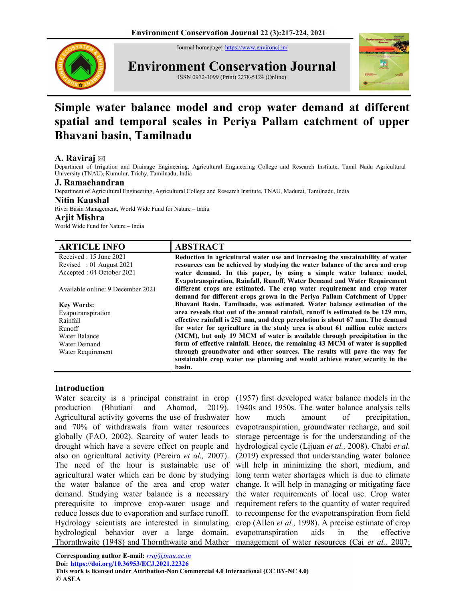Journal homepage: https://www.environcj.in/



Environment Conservation Journal

ISSN 0972-3099 (Print) 2278-5124 (Online)



# Simple water balance model and crop water demand at different spatial and temporal scales in Periya Pallam catchment of upper Bhavani basin, Tamilnadu

# A. Raviraj

Department of Irrigation and Drainage Engineering, Agricultural Engineering College and Research Institute, Tamil Nadu Agricultural University (TNAU), Kumulur, Trichy, Tamilnadu, India

## J. Ramachandran

Department of Agricultural Engineering, Agricultural College and Research Institute, TNAU, Madurai, Tamilnadu, India

# Nitin Kaushal

River Basin Management, World Wide Fund for Nature – India

#### Arjit Mishra

World Wide Fund for Nature – India

| <b>ARTICLE INFO</b>               | <b>ABSTRACT</b>                                                                 |
|-----------------------------------|---------------------------------------------------------------------------------|
| Received : 15 June 2021           | Reduction in agricultural water use and increasing the sustainability of water  |
| Revised : 01 August $2021$        | resources can be achieved by studying the water balance of the area and crop    |
| Accepted : 04 October 2021        | water demand. In this paper, by using a simple water balance model,             |
|                                   | Evapotranspiration, Rainfall, Runoff, Water Demand and Water Requirement        |
| Available online: 9 December 2021 | different crops are estimated. The crop water requirement and crop water        |
|                                   | demand for different crops grown in the Periya Pallam Catchment of Upper        |
| <b>Key Words:</b>                 | Bhavani Basin, Tamilnadu, was estimated. Water balance estimation of the        |
| Evapotranspiration                | area reveals that out of the annual rainfall, runoff is estimated to be 129 mm, |
| Rainfall                          | effective rainfall is 252 mm, and deep percolation is about 67 mm. The demand   |
| Runoff                            | for water for agriculture in the study area is about 61 million cubic meters    |
| Water Balance                     | (MCM), but only 19 MCM of water is available through precipitation in the       |
| Water Demand                      | form of effective rainfall. Hence, the remaining 43 MCM of water is supplied    |
| Water Requirement                 | through groundwater and other sources. The results will pave the way for        |
|                                   | sustainable crop water use planning and would achieve water security in the     |
|                                   | basin.                                                                          |

## Introduction

Water scarcity is a principal constraint in crop (1957) first developed water balance models in the production (Bhutiani and Ahamad, 2019). Agricultural activity governs the use of freshwater and 70% of withdrawals from water resources globally (FAO, 2002). Scarcity of water leads to drought which have a severe effect on people and also on agricultural activity (Pereira et al., 2007). The need of the hour is sustainable use of agricultural water which can be done by studying the water balance of the area and crop water demand. Studying water balance is a necessary prerequisite to improve crop-water usage and reduce losses due to evaporation and surface runoff. Hydrology scientists are interested in simulating hydrological behavior over a large domain. Thornthwaite (1948) and Thornthwaite and Mather management of water resources (Cai et al., 2007;

1940s and 1950s. The water balance analysis tells much amount of precipitation, evapotranspiration, groundwater recharge, and soil storage percentage is for the understanding of the hydrological cycle (Lijuan et al., 2008). Chabi et al. (2019) expressed that understanding water balance will help in minimizing the short, medium, and long term water shortages which is due to climate change. It will help in managing or mitigating face the water requirements of local use. Crop water requirement refers to the quantity of water required to recompense for the evapotranspiration from field crop (Allen et al., 1998). A precise estimate of crop evapotranspiration aids in the effective

Corresponding author E-mail: rraj@tnau.ac.in Doi: <u>https://doi.org/10.36953/ECJ.2021.22326</u><br>This work is licensed under Attribution-Non Commercial 4.0 International (CC BY-NC 4.0) © ASEA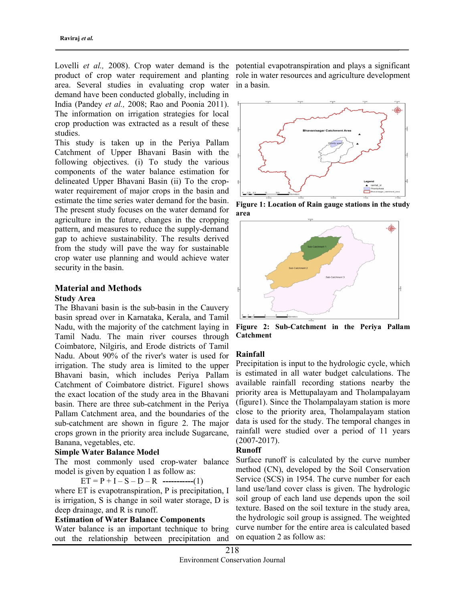Lovelli et al., 2008). Crop water demand is the potential evapotranspiration and plays a significant product of crop water requirement and planting role in water resources and agriculture development area. Several studies in evaluating crop water in a basin. demand have been conducted globally, including in India (Pandey et al., 2008; Rao and Poonia 2011). The information on irrigation strategies for local crop production was extracted as a result of these studies.

This study is taken up in the Periya Pallam Catchment of Upper Bhavani Basin with the following objectives. (i) To study the various components of the water balance estimation for delineated Upper Bhavani Basin (ii) To the cropwater requirement of major crops in the basin and estimate the time series water demand for the basin. The present study focuses on the water demand for agriculture in the future, changes in the cropping pattern, and measures to reduce the supply-demand gap to achieve sustainability. The results derived from the study will pave the way for sustainable crop water use planning and would achieve water security in the basin.

## Material and Methods Study Area

The Bhavani basin is the sub-basin in the Cauvery basin spread over in Karnataka, Kerala, and Tamil Nadu, with the majority of the catchment laying in Tamil Nadu. The main river courses through Coimbatore, Nilgiris, and Erode districts of Tamil Nadu. About 90% of the river's water is used for irrigation. The study area is limited to the upper Bhavani basin, which includes Periya Pallam Catchment of Coimbatore district. Figure1 shows the exact location of the study area in the Bhavani basin. There are three sub-catchment in the Periya Pallam Catchment area, and the boundaries of the sub-catchment are shown in figure 2. The major crops grown in the priority area include Sugarcane, Banana, vegetables, etc.

## Simple Water Balance Model

The most commonly used crop-water balance model is given by equation 1 as follow as:

 $ET = P + I - S - D - R$  -----------(1)

where ET is evapotranspiration, P is precipitation, I is irrigation, S is change in soil water storage, D is deep drainage, and R is runoff.

## Estimation of Water Balance Components

Water balance is an important technique to bring out the relationship between precipitation and



Figure 1: Location of Rain gauge stations in the study area



Figure 2: Sub-Catchment in the Periya Pallam Catchment

## Rainfall

Precipitation is input to the hydrologic cycle, which is estimated in all water budget calculations. The available rainfall recording stations nearby the priority area is Mettupalayam and Tholampalayam (figure1). Since the Tholampalayam station is more close to the priority area, Tholampalayam station data is used for the study. The temporal changes in rainfall were studied over a period of 11 years (2007-2017).

## Runoff

Surface runoff is calculated by the curve number method (CN), developed by the Soil Conservation Service (SCS) in 1954. The curve number for each land use/land cover class is given. The hydrologic soil group of each land use depends upon the soil texture. Based on the soil texture in the study area, the hydrologic soil group is assigned. The weighted curve number for the entire area is calculated based on equation 2 as follow as: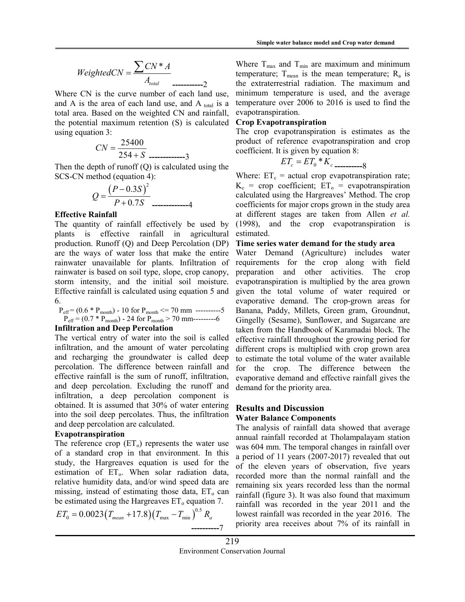$$
WeightedCN = \frac{\sum CN^* A}{A_{total}}
$$

Where CN is the curve number of each land use, and A is the area of each land use, and A  $_{\text{total}}$  is a total area. Based on the weighted CN and rainfall, the potential maximum retention (S) is calculated using equation 3:

$$
CN = \frac{25400}{254 + S} \dots \dots \dots \dots \dots 3
$$

Then the depth of runoff  $(Q)$  is calculated using the SCS-CN method (equation 4):

$$
Q = \frac{(P - 0.3S)^2}{P + 0.7S}
$$

#### Effective Rainfall

The quantity of rainfall effectively be used by plants is effective rainfall in agricultural production. Runoff (Q) and Deep Percolation (DP) are the ways of water loss that make the entire rainwater unavailable for plants. Infiltration of rainwater is based on soil type, slope, crop canopy, storm intensity, and the initial soil moisture. Effective rainfall is calculated using equation 5 and 6.

$$
\begin{array}{l} P_{\rm eff} \!=\! (0.6 * P_{\rm month}) - 10 \; \text{for} \; P_{\rm month} \!<\!\!= 70 \; \text{mm} \; \; \text{---5} \\ P_{\rm eff} \!=\! (0.7 * P_{\rm month}) - 24 \; \text{for} \; P_{\rm month} \!> \! 70 \; \text{mm} \! \text{---5} \\ \end{array}
$$

#### Infiltration and Deep Percolation

The vertical entry of water into the soil is called infiltration, and the amount of water percolating and recharging the groundwater is called deep percolation. The difference between rainfall and effective rainfall is the sum of runoff, infiltration, and deep percolation. Excluding the runoff and infiltration, a deep percolation component is obtained. It is assumed that 30% of water entering into the soil deep percolates. Thus, the infiltration and deep percolation are calculated.

#### Evapotranspiration

The reference crop  $(ET_0)$  represents the water use of a standard crop in that environment. In this study, the Hargreaves equation is used for the estimation of  $ET_0$ . When solar radiation data, relative humidity data, and/or wind speed data are missing, instead of estimating those data,  $ET_0$  can be estimated using the Hargreaves  $ET_0$  equation 7.

$$
ET_0 = 0.0023 (T_{mean} + 17.8) (T_{max} - T_{min})^{0.5} R_a
$$

Where  $T_{\text{max}}$  and  $T_{\text{min}}$  are maximum and minimum temperature;  $T_{\text{mean}}$  is the mean temperature;  $R_{\text{a}}$  is the extraterrestrial radiation. The maximum and minimum temperature is used, and the average temperature over 2006 to 2016 is used to find the evapotranspiration.

# Crop Evapotranspiration

The crop evapotranspiration is estimates as the product of reference evapotranspiration and crop coefficient. It is given by equation 8:

0 \* ET ET K c c ----------8

Simple water balance model and Crop water demannial<br>  $ICN = \frac{\sum CN^* A}{A_{total}}$  Where T<sub>max</sub> and T<sub>min</sub> are maximum and minimum temperature; T<sub>mean</sub> is the enean temperature;<br>
i.e curve number of each land use, minimum temperatur Where:  $ET_c$  = actual crop evapotranspiration rate;  $K_c$  = crop coefficient;  $ET_o$  = evapotranspiration calculated using the Hargreaves' Method. The crop coefficients for major crops grown in the study area at different stages are taken from Allen et al. (1998), and the crop evapotranspiration is estimated.

#### Time series water demand for the study area

Water Demand (Agriculture) includes water requirements for the crop along with field preparation and other activities. The crop evapotranspiration is multiplied by the area grown given the total volume of water required or evaporative demand. The crop-grown areas for Banana, Paddy, Millets, Green gram, Groundnut, Gingelly (Sesame), Sunflower, and Sugarcane are taken from the Handbook of Karamadai block. The effective rainfall throughout the growing period for different crops is multiplied with crop grown area to estimate the total volume of the water available for the crop. The difference between the evaporative demand and effective rainfall gives the demand for the priority area.

## Results and Discussion Water Balance Components

The analysis of rainfall data showed that average annual rainfall recorded at Tholampalayam station was 604 mm. The temporal changes in rainfall over a period of 11 years (2007-2017) revealed that out of the eleven years of observation, five years recorded more than the normal rainfall and the remaining six years recorded less than the normal rainfall (figure 3). It was also found that maximum rainfall was recorded in the year 2011 and the lowest rainfall was recorded in the year 2016. The priority area receives about 7% of its rainfall in  $\frac{1}{10000}$  - 24 for  $\frac{P_{model}}{P}$  recolation<br>for Demonstrating  $>70 \text{ mm}$ ——6 Gingelly (Sesame), Sunflower, and Sugarcane are<br>**d Deep Percolation** to the solid is called effective rainfall doney of Karamada block. The<br>tu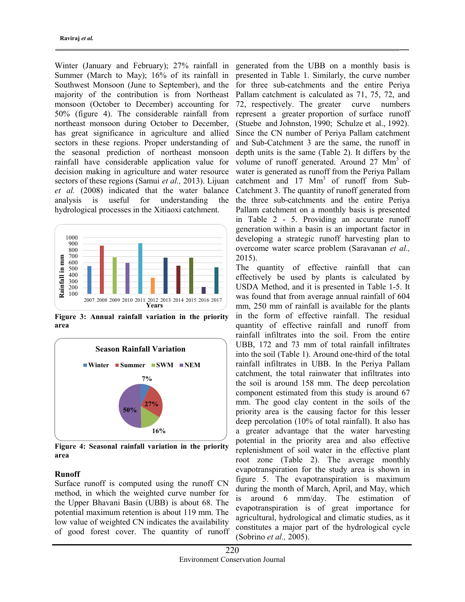Winter (January and February); 27% rainfall in Summer (March to May); 16% of its rainfall in Southwest Monsoon (June to September), and the majority of the contribution is from Northeast monsoon (October to December) accounting for 50% (figure 4). The considerable rainfall from northeast monsoon during October to December, has great significance in agriculture and allied sectors in these regions. Proper understanding of the seasonal prediction of northeast monsoon rainfall have considerable application value for decision making in agriculture and water resource sectors of these regions (Samui *et al.*, 2013). Lijuan et al. (2008) indicated that the water balance analysis is useful for understanding the hydrological processes in the Xitiaoxi catchment.



Figure 3: Annual rainfall variation in the priority area



Figure 4: Seasonal rainfall variation in the priority area

# Runoff

Surface runoff is computed using the runoff CN method, in which the weighted curve number for the Upper Bhavani Basin (UBB) is about 68. The potential maximum retention is about 119 mm. The low value of weighted CN indicates the availability of good forest cover. The quantity of runoff

generated from the UBB on a monthly basis is presented in Table 1. Similarly, the curve number for three sub-catchments and the entire Periya Pallam catchment is calculated as 71, 75, 72, and 72, respectively. The greater curve numbers represent a greater proportion of surface runoff (Stuebe and Johnston, 1990; Schulze et al., 1992). Since the CN number of Periya Pallam catchment and Sub-Catchment 3 are the same, the runoff in depth units is the same (Table 2). It differs by the volume of runoff generated. Around 27 Mm<sup>3</sup> of water is generated as runoff from the Periya Pallam catchment and 17 Mm<sup>3</sup> of runoff from Sub-Catchment 3. The quantity of runoff generated from the three sub-catchments and the entire Periya Pallam catchment on a monthly basis is presented in Table 2 - 5. Providing an accurate runoff generation within a basin is an important factor in developing a strategic runoff harvesting plan to overcome water scarce problem (Saravanan et al., 2015). 2008) (Orelober to Decemberry accounting for 72, respectively. The greater europeon (Septembers among the complement of the most determined in the most determined and all in the most determined and all the Section and all

The quantity of effective rainfall that can effectively be used by plants is calculated by USDA Method, and it is presented in Table 1-5. It was found that from average annual rainfall of 604 mm, 250 mm of rainfall is available for the plants in the form of effective rainfall. The residual quantity of effective rainfall and runoff from rainfall infiltrates into the soil. From the entire UBB, 172 and 73 mm of total rainfall infiltrates into the soil (Table 1). Around one-third of the total Winter Summer SWM NEM and Sunfall infiltrates in UBB. In the Periya Pallam catchment, the total rainwater that infiltrates into the soil is around 158 mm. The deep percolation component estimated from this study is around 67 mm. The good clay content in the soils of the priority area is the causing factor for this lesser deep percolation (10% of total rainfall). It also has a greater advantage that the water harvesting potential in the priority area and also effective replenishment of soil water in the effective plant root zone (Table 2). The average monthly evapotranspiration for the study area is shown in figure 5. The evapotranspiration is maximum during the month of March, April, and May, which is around 6 mm/day. The estimation of evapotranspiration is of great importance for agricultural, hydrological and climatic studies, as it constitutes a major part of the hydrological cycle (Sobrino et al., 2005).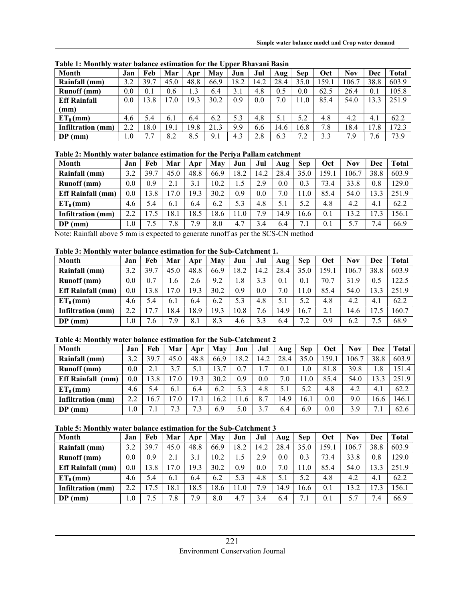| Month               | Jan     | Feb  | Mar  | Apr  | Mav  | Jun  | Jul  | Aug  | <b>Sep</b> | Oct   | <b>Nov</b> | Dec     | <b>Total</b> |
|---------------------|---------|------|------|------|------|------|------|------|------------|-------|------------|---------|--------------|
| Rainfall (mm)       | 3.2     | 39.7 | 45.0 | 48.8 | 66.9 | 18.2 | 14.2 | 28.4 | 35.0       | 159.1 | 106.7      | 38.8    | 603.9        |
| <b>Runoff</b> (mm)  | 0.0     | 0.1  | 0.6  | 1.3  | 6.4  | 3.1  | 4.8  | 0.5  | 0.0        | 62.5  | 26.4       | 0.1     | 105.8        |
| <b>Eff Rainfall</b> | 0.0     | 3.8  | 7.0  | 19.3 | 30.2 | 0.9  | 0.0  | 7.0  | 11.0       | 85.4  | 54.0       | 13.3    | 251.9        |
| (mm)                |         |      |      |      |      |      |      |      |            |       |            |         |              |
| $ET_0$ (mm)         | 4.6     | 5.4  | 6.1  | 6.4  | 6.2  | 5.3  | 4.8  | 5.1  | 5.2        | 4.8   | 4.2        | 4.1     | 62.2         |
| Infiltration (mm)   | 2.2     | 18.0 | 19.1 | 19.8 | 21.3 | 9.9  | 6.6  | 14.6 | 16.8       | 7.8   | 18.4       | 17.8    | 72.3         |
| $DP$ (mm)           | $1.0\,$ | 7.7  | 8.2  | 8.5  | 9.1  | 4.3  | 2.8  | 6.3  | 7.2        | 3.3   | 7.9        | 7<br>.6 | 73.9         |

Table 1: Monthly water balance estimation for the Upper Bhavani Basin

# Table 2: Monthly water balance estimation for the Periya Pallam catchment

| <b>Month</b>             | Jan | Feb      | Mar                    | Apr  | May  | Jun  | Jul                | Aug     | <b>Sep</b> | Oct   | Nov   | Dec  | Total |
|--------------------------|-----|----------|------------------------|------|------|------|--------------------|---------|------------|-------|-------|------|-------|
| Rainfall (mm)            | 3.2 | 39.7     | 45.0                   | 48.8 | 66.9 | .8.2 | 14.2               | 28.4    | 35.0       | .59.1 | 106.7 | 38.8 | 603.9 |
| <b>Runoff</b> (mm)       | 0.0 | 0.9      | 2.1                    |      | 10.2 |      | 2.9                | $0.0\,$ | 0.3        | 73.4  | 33.8  | 0.8  | 129.0 |
| <b>Eff Rainfall</b> (mm) | 0.0 | 3.8      | 17<br>$^{\prime}$ . (1 | 9.3  | 30.2 | 0.9  | 0.0                | 7.0     | 1.0        | 85.4  | 54.0  | 13.3 | 251.9 |
| $ET_0$ (mm)              | 4.6 | 5.4      | 6.1                    | 6.4  | 6.2  | 5.3  | 4.8                | 5.1     | 5.2        | 4.8   | 4.2   | 4.1  | 62.2  |
| Infiltration (mm)        | 2.2 | 7.5      | 18.1                   | .8.5 | 18.6 | 1.0  | $\mathbf{r}$<br>.9 | 4.9     | 16.6       | 0.1   | 13.2  | 17.3 | 156.1 |
| $DP$ (mm)                | 1.0 | ⇁<br>1.5 | 7<br>'.8               | 7.9  | 8.0  | 4.7  | 3.4                | 6.4     | 7.1        | 0.1   | 5.7   | 7.4  | 66.9  |

Note: Rainfall above 5 mm is expected to generate runoff as per the SCS-CN method

## Table 3: Monthly water balance estimation for the Sub-Catchment 1.

| <b>Month</b>             | Jan            | Feb     | Mar   | Apr  | Mav  | Jun  | Jul                  | Aug  | <b>Sep</b> | Oct  | <b>Nov</b> | Dec    | Total |
|--------------------------|----------------|---------|-------|------|------|------|----------------------|------|------------|------|------------|--------|-------|
| Rainfall (mm)            | 3.2            | 39.7    | 45.0  | 48.8 | 66.9 | 18.2 | 14.2                 | 28.4 | 35.0       | 159. | 106.7      | 38.8   | 603.9 |
| <b>Runoff</b> (mm)       | 0.0            | 0.7     | . . 6 | 2.6  | 9.2  | 1.8  | 3.3                  | 0.1  | 0.1        | 70.7 | 31.9       | 0.5    | 122.5 |
| <b>Eff Rainfall</b> (mm) | 0.0            | 3.8     | 7.0   | 19.3 | 30.2 | 0.9  | 0.0                  | 7.0  |            | 85.4 | 54.0       | 13.3   | 251.9 |
| $ET_0$ (mm)              | 4.6            | 5.4     | 6.1   | 6.4  | 6.2  | 5.3  | 4.8                  | 5.1  | 5.2        | 4.8  | 4.2        | 4.1    | 62.2  |
| Infiltration (mm)        | 2.2            | 7.7     | 18.4  | 8.9  | 19.3 | 10.8 | −<br>$.6\phantom{0}$ | 4.9  | 16.7       | 2.1  | 14.6       | 17     | 160.7 |
| $DP$ (mm)                | $\mathbf{0}.0$ | ⇁<br>.6 | 7.9   | 8.1  | 8.3  | 4.6  | 3.3                  | 6.4  | 7.2        | 0.9  | 6.2        | ⇁<br>ు | 68.9  |

## Table 4: Monthly water balance estimation for the Sub-Catchment 2

| <b>Month</b>                | Jan     | Feb  | Mar      | Apr  | May  | Jun  | Jul     | Aug  | <b>Sep</b> | Oct   | <b>Nov</b> | Dec              | Total |
|-----------------------------|---------|------|----------|------|------|------|---------|------|------------|-------|------------|------------------|-------|
| Rainfall (mm)               | 3.2     | 39.7 | 45.0     | 48.8 | 66.9 | 18.2 | 14.2    | 28.4 | 35.0       | 159.1 | 106.7      | 38.8             | 603.9 |
| <b>Runoff</b> (mm)          | $0.0\,$ | 2.1  |          | 5.1  | 13.7 | 0.7  |         | 0.1  | 1.0        | 81.8  | 39.8       | . .8             | 151.4 |
| <b>Eff Rainfall</b><br>(mm) | $0.0\,$ | 3.8  | $\Omega$ | 19.3 | 30.2 | 0.9  | $0.0\,$ | 7.0  | 1.0        | 85.4  | 54.0       | $\overline{3.3}$ | 251.9 |
| $ET_0$ (mm)                 | 4.6     | 5.4  | 6.1      | 6.4  | 6.2  | 5.3  | 4.8     | 5.1  | 5.2        | 4.8   | 4.2        | 4.1              | 62.2  |
| Infiltration<br>(mm)        | 2.2     | 16.7 | $\Omega$ |      | 16.2 | 11.6 | 8.7     | 14.9 | 16.1       | 0.0   | 9.0        | 16.6             | 146.1 |
| $DP$ (mm)                   | 0.1     | 7.1  | ⇁<br>3.  | 7.3  | 6.9  | 5.0  |         | 6.4  | 6.9        | 0.0   | 3.9        | $\sqrt{1}$       | 62.6  |

#### Table 5: Monthly water balance estimation for the Sub-Catchment 3

| <b>Month</b>             | Jan | Feb      | Mar         | Apr  | May  | Jun  | Jul     | Aug  | <b>Sep</b> | Oct   | Nov   | Dec  | Total |
|--------------------------|-----|----------|-------------|------|------|------|---------|------|------------|-------|-------|------|-------|
| Rainfall (mm)            | 3.2 | 39.7     | 45.0        | 48.8 | 66.9 | 18.2 | 14.2    | 28.4 | 35.0       | .59.1 | 106.7 | 38.8 | 603.9 |
| <b>Runoff</b> (mm)       | 0.0 | 0.9      | 2.1         | 3.1  | 10.2 |      | 2.9     | 0.0  | 0.3        | 73.4  | 33.8  | 0.8  | 129.0 |
| <b>Eff Rainfall</b> (mm) | 0.0 | 3.8      | 17.0        | 19.3 | 30.2 | 0.9  | 0.0     | 7.0  | 1.0        | 85.4  | 54.0  | 13.3 | 251.9 |
| $ET_0$ (mm)              | 4.6 | 5.4      | 6.1         | 6.4  | 6.2  | 5.3  | 4.8     | 5.1  | 5.2        | 4.8   | 4.2   | 4.1  | 62.2  |
| Infiltration<br>(mm)     | 2.2 | l 7.5    | 18.1        | 18.5 | 18.6 | 11.0 | −<br>.9 | 4.9  | 16.6       | 0.1   | 13.2  | .7.3 | 56.1  |
| $DP$ (mm)                | 0.1 | ⇁<br>1.5 | ⇁<br>$.8\,$ | 7.9  | 8.0  | 4.7  | 3.4     | 6.4  | 7.1        | 0.1   | 5.7   | 7.4  | 66.9  |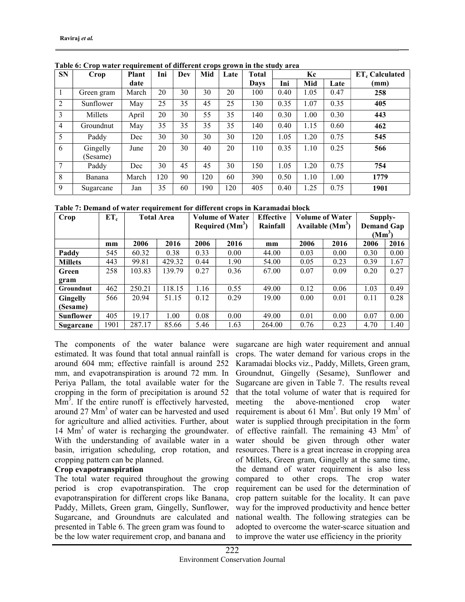| <b>SN</b>      | Crop                 | <b>Plant</b> | Ini | Dev | Mid | Late | <b>Total</b> |      | Kc   |      | $ET_c$ Calculated |
|----------------|----------------------|--------------|-----|-----|-----|------|--------------|------|------|------|-------------------|
|                |                      | date         |     |     |     |      | Davs         | Ini  | Mid  | Late | (mm)              |
|                | Green gram           | March        | 20  | 30  | 30  | 20   | 100          | 0.40 | 1.05 | 0.47 | 258               |
| 2              | Sunflower            | May          | 25  | 35  | 45  | 25   | 130          | 0.35 | 1.07 | 0.35 | 405               |
| 3              | Millets              | April        | 20  | 30  | 55  | 35   | 140          | 0.30 | 1.00 | 0.30 | 443               |
| $\overline{4}$ | Groundnut            | May          | 35  | 35  | 35  | 35   | 140          | 0.40 | 1.15 | 0.60 | 462               |
| 5              | Paddy                | Dec          | 30  | 30  | 30  | 30   | 120          | 1.05 | 1.20 | 0.75 | 545               |
| 6              | Gingelly<br>(Sesame) | June         | 20  | 30  | 40  | 20   | 110          | 0.35 | 1.10 | 0.25 | 566               |
| 7              | Paddy                | Dec          | 30  | 45  | 45  | 30   | 150          | 1.05 | 1.20 | 0.75 | 754               |
| 8              | Banana               | March        | 120 | 90  | 120 | 60   | 390          | 0.50 | 1.10 | 1.00 | 1779              |
| 9              | Sugarcane            | Jan          | 35  | 60  | 190 | 120  | 405          | 0.40 | 1.25 | 0.75 | 1901              |

Table 6: Crop water requirement of different crops grown in the study area

Table 7: Demand of water requirement for different crops in Karamadai block

| Crop             | $ET_c$ | <b>Total Area</b> |        |      | <b>Volume of Water</b><br>Required (Mm <sup>3</sup> ) | <b>Effective</b><br>Rainfall |      | <b>Volume of Water</b><br>Available $(Mm^3)$ | Supply-<br><b>Demand Gap</b><br>$(Mm^3)$ |      |  |
|------------------|--------|-------------------|--------|------|-------------------------------------------------------|------------------------------|------|----------------------------------------------|------------------------------------------|------|--|
|                  | mm     | 2006              | 2016   | 2006 | 2016                                                  | mm                           | 2006 | 2016                                         | 2006                                     | 2016 |  |
| Paddy            | 545    | 60.32             | 0.38   | 0.33 | 0.00                                                  | 44.00                        | 0.03 | 0.00                                         | 0.30                                     | 0.00 |  |
| <b>Millets</b>   | 443    | 99.81             | 429.32 | 0.44 | 1.90                                                  | 54.00                        | 0.05 | 0.23                                         | 0.39                                     | 1.67 |  |
| Green            | 258    | 103.83            | 139.79 | 0.27 | 0.36                                                  | 67.00                        | 0.07 | 0.09                                         | 0.20                                     | 0.27 |  |
| gram             |        |                   |        |      |                                                       |                              |      |                                              |                                          |      |  |
| <b>Groundnut</b> | 462    | 250.21            | 118.15 | 1.16 | 0.55                                                  | 49.00                        | 0.12 | 0.06                                         | 1.03                                     | 0.49 |  |
| <b>Gingelly</b>  | 566    | 20.94             | 51.15  | 0.12 | 0.29                                                  | 19.00                        | 0.00 | 0.01                                         | 0.11                                     | 0.28 |  |
| (Sesame)         |        |                   |        |      |                                                       |                              |      |                                              |                                          |      |  |
| <b>Sunflower</b> | 405    | 19.17             | 1.00   | 0.08 | 0.00                                                  | 49.00                        | 0.01 | 0.00                                         | 0.07                                     | 0.00 |  |
| Sugarcane        | 1901   | 287.17            | 85.66  | 5.46 | 1.63                                                  | 264.00                       | 0.76 | 0.23                                         | 4.70                                     | 1.40 |  |

The components of the water balance were estimated. It was found that total annual rainfall is around 604 mm; effective rainfall is around 252 mm, and evapotranspiration is around 72 mm. In Periya Pallam, the total available water for the cropping in the form of precipitation is around 52  $\text{Mm}^3$ . If the entire runoff is effectively harvested, around 27 Mm<sup>3</sup> of water can be harvested and used for agriculture and allied activities. Further, about 14  $\text{Mm}^3$  of water is recharging the groundwater. With the understanding of available water in a basin, irrigation scheduling, crop rotation, and cropping pattern can be planned.

# Crop evapotranspiration

The total water required throughout the growing period is crop evapotranspiration. The crop evapotranspiration for different crops like Banana, Paddy, Millets, Green gram, Gingelly, Sunflower, Sugarcane, and Groundnuts are calculated and presented in Table 6. The green gram was found to be the low water requirement crop, and banana and

sugarcane are high water requirement and annual crops. The water demand for various crops in the Karamadai blocks viz., Paddy, Millets, Green gram, Groundnut, Gingelly (Sesame), Sunflower and Sugarcane are given in Table 7. The results reveal that the total volume of water that is required for meeting the above-mentioned crop water requirement is about 61  $\text{Mm}^3$ . But only 19  $\text{Mm}^3$  of water is supplied through precipitation in the form of effective rainfall. The remaining 43 Mm<sup>3</sup> of water should be given through other water resources. There is a great increase in cropping area of Millets, Green gram, Gingelly at the same time, the demand of water requirement is also less compared to other crops. The crop water requirement can be used for the determination of crop pattern suitable for the locality. It can pave way for the improved productivity and hence better national wealth. The following strategies can be adopted to overcome the water-scarce situation and to improve the water use efficiency in the priority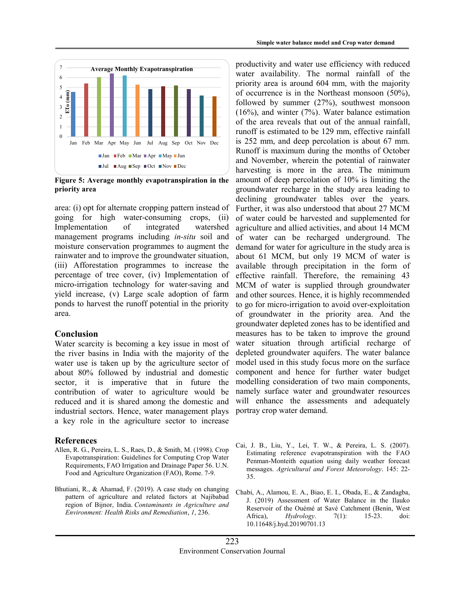

Figure 5: Average monthly evapotranspiration in the priority area

area: (i) opt for alternate cropping pattern instead of going for high water-consuming crops, (ii) Implementation of integrated watershed management programs including *in-situ* soil and moisture conservation programmes to augment the rainwater and to improve the groundwater situation, (iii) Afforestation programmes to increase the percentage of tree cover, (iv) Implementation of micro-irrigation technology for water-saving and yield increase, (v) Large scale adoption of farm ponds to harvest the runoff potential in the priority area.

#### Conclusion

Water scarcity is becoming a key issue in most of the river basins in India with the majority of the water use is taken up by the agriculture sector of about 80% followed by industrial and domestic sector, it is imperative that in future the contribution of water to agriculture would be reduced and it is shared among the domestic and industrial sectors. Hence, water management plays a key role in the agriculture sector to increase

#### References

- Allen, R. G., Pereira, L. S., Raes, D., & Smith, M. (1998). Crop Evapotranspiration: Guidelines for Computing Crop Water Requirements, FAO Irrigation and Drainage Paper 56. U.N. Food and Agriculture Organization (FAO), Rome. 7-9.
- Bhutiani, R., & Ahamad, F. (2019). A case study on changing pattern of agriculture and related factors at Najibabad region of Bijnor, India. Contaminants in Agriculture and Environment: Health Risks and Remediation, 1, 236.

productivity and water use efficiency with reduced water availability. The normal rainfall of the priority area is around 604 mm, with the majority of occurrence is in the Northeast monsoon (50%), followed by summer (27%), southwest monsoon (16%), and winter (7%). Water balance estimation of the area reveals that out of the annual rainfall, runoff is estimated to be 129 mm, effective rainfall is 252 mm, and deep percolation is about 67 mm. Runoff is maximum during the months of October and November, wherein the potential of rainwater harvesting is more in the area. The minimum amount of deep percolation of 10% is limiting the groundwater recharge in the study area leading to declining groundwater tables over the years. Further, it was also understood that about 27 MCM of water could be harvested and supplemented for agriculture and allied activities, and about 14 MCM of water can be recharged underground. The demand for water for agriculture in the study area is about 61 MCM, but only 19 MCM of water is available through precipitation in the form of effective rainfall. Therefore, the remaining 43 MCM of water is supplied through groundwater and other sources. Hence, it is highly recommended to go for micro-irrigation to avoid over-exploitation of groundwater in the priority area. And the groundwater depleted zones has to be identified and measures has to be taken to improve the ground water situation through artificial recharge of depleted groundwater aquifers. The water balance model used in this study focus more on the surface component and hence for further water budget modelling consideration of two main components, namely surface water and groundwater resources will enhance the assessments and adequately portray crop water demand. Simple water balance model and Crop water demand<br>
Neerage Monthly Evapotranspiration<br>
The control of the priority area is around of of mm, with the majority<br>
of occurrence is in the Northeast monsoon (50%),<br>  $(16\%)$ , and

- Cai, J. B., Liu, Y., Lei, T. W., & Pereira, L. S. (2007). Estimating reference evapotranspiration with the FAO Penman-Monteith equation using daily weather forecast messages. Agricultural and Forest Meteorology. 145: 22- 35.
- Chabi, A., Alamou, E. A., Biao, E. I., Obada, E., & Zandagba, J. (2019) Assessment of Water Balance in the Ilauko Reservoir of the Ouémé at Savè Catchment (Benin, West Africa), *Hydrology*. 7(1): 15-23. doi: 10.11648/j.hyd.20190701.13